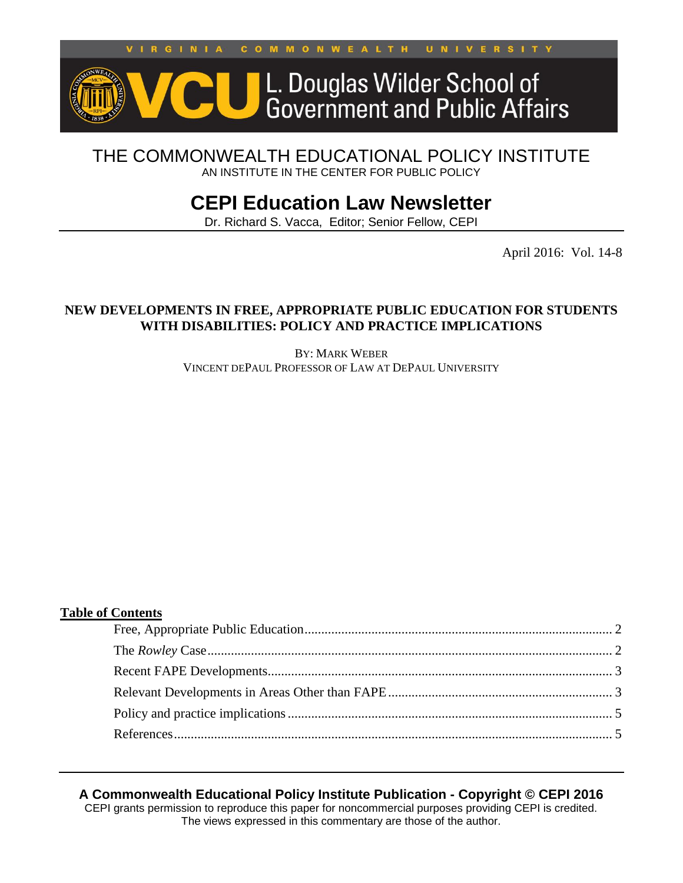GINIA **COMMONWEALTH** UNIVERSITY  $V<sub>1</sub>$  $\mathbf{R}$ 



# THE COMMONWEALTH EDUCATIONAL POLICY INSTITUTE AN INSTITUTE IN THE CENTER FOR PUBLIC POLICY

# **CEPI Education Law Newsletter**

Dr. Richard S. Vacca, Editor; Senior Fellow, CEPI

April 2016: Vol. 14-8

#### **NEW DEVELOPMENTS IN FREE, APPROPRIATE PUBLIC EDUCATION FOR STUDENTS WITH DISABILITIES: POLICY AND PRACTICE IMPLICATIONS**

BY: MARK WEBER VINCENT DEPAUL PROFESSOR OF LAW AT DEPAUL UNIVERSITY

#### **Table of Contents**

## **A Commonwealth Educational Policy Institute Publication - Copyright © CEPI 2016**

CEPI grants permission to reproduce this paper for noncommercial purposes providing CEPI is credited. The views expressed in this commentary are those of the author.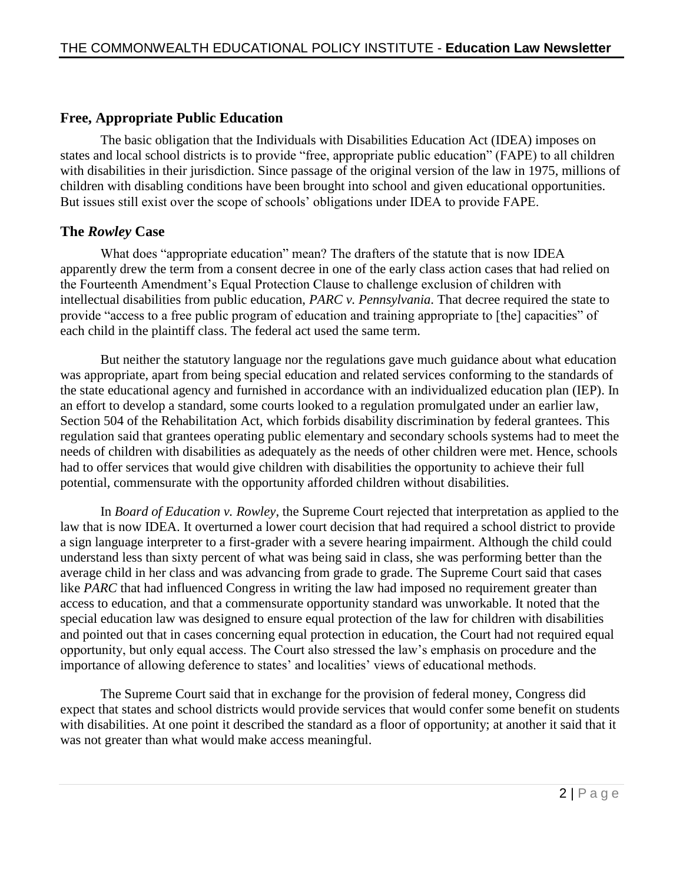# <span id="page-1-0"></span>**Free, Appropriate Public Education**

The basic obligation that the Individuals with Disabilities Education Act (IDEA) imposes on states and local school districts is to provide "free, appropriate public education" (FAPE) to all children with disabilities in their jurisdiction. Since passage of the original version of the law in 1975, millions of children with disabling conditions have been brought into school and given educational opportunities. But issues still exist over the scope of schools' obligations under IDEA to provide FAPE.

# <span id="page-1-1"></span>**The** *Rowley* **Case**

What does "appropriate education" mean? The drafters of the statute that is now IDEA apparently drew the term from a consent decree in one of the early class action cases that had relied on the Fourteenth Amendment's Equal Protection Clause to challenge exclusion of children with intellectual disabilities from public education, *PARC v. Pennsylvania*. That decree required the state to provide "access to a free public program of education and training appropriate to [the] capacities" of each child in the plaintiff class. The federal act used the same term.

But neither the statutory language nor the regulations gave much guidance about what education was appropriate, apart from being special education and related services conforming to the standards of the state educational agency and furnished in accordance with an individualized education plan (IEP). In an effort to develop a standard, some courts looked to a regulation promulgated under an earlier law, Section 504 of the Rehabilitation Act, which forbids disability discrimination by federal grantees. This regulation said that grantees operating public elementary and secondary schools systems had to meet the needs of children with disabilities as adequately as the needs of other children were met. Hence, schools had to offer services that would give children with disabilities the opportunity to achieve their full potential, commensurate with the opportunity afforded children without disabilities.

In *Board of Education v. Rowley*, the Supreme Court rejected that interpretation as applied to the law that is now IDEA. It overturned a lower court decision that had required a school district to provide a sign language interpreter to a first-grader with a severe hearing impairment. Although the child could understand less than sixty percent of what was being said in class, she was performing better than the average child in her class and was advancing from grade to grade. The Supreme Court said that cases like *PARC* that had influenced Congress in writing the law had imposed no requirement greater than access to education, and that a commensurate opportunity standard was unworkable. It noted that the special education law was designed to ensure equal protection of the law for children with disabilities and pointed out that in cases concerning equal protection in education, the Court had not required equal opportunity, but only equal access. The Court also stressed the law's emphasis on procedure and the importance of allowing deference to states' and localities' views of educational methods.

The Supreme Court said that in exchange for the provision of federal money, Congress did expect that states and school districts would provide services that would confer some benefit on students with disabilities. At one point it described the standard as a floor of opportunity; at another it said that it was not greater than what would make access meaningful.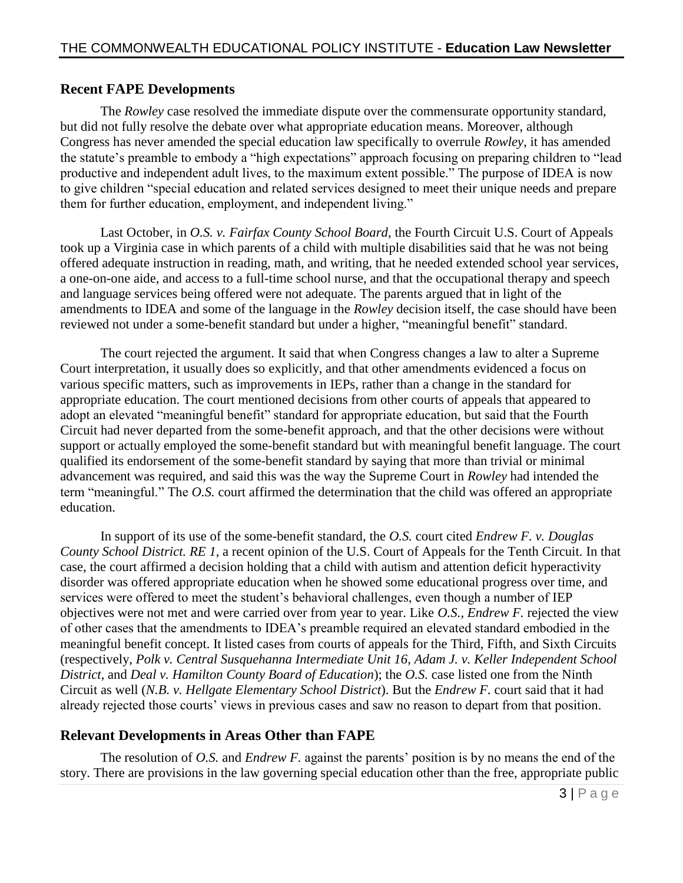#### <span id="page-2-0"></span>**Recent FAPE Developments**

The *Rowley* case resolved the immediate dispute over the commensurate opportunity standard, but did not fully resolve the debate over what appropriate education means. Moreover, although Congress has never amended the special education law specifically to overrule *Rowley*, it has amended the statute's preamble to embody a "high expectations" approach focusing on preparing children to "lead productive and independent adult lives, to the maximum extent possible." The purpose of IDEA is now to give children "special education and related services designed to meet their unique needs and prepare them for further education, employment, and independent living."

Last October, in *O.S. v. Fairfax County School Board*, the Fourth Circuit U.S. Court of Appeals took up a Virginia case in which parents of a child with multiple disabilities said that he was not being offered adequate instruction in reading, math, and writing, that he needed extended school year services, a one-on-one aide, and access to a full-time school nurse, and that the occupational therapy and speech and language services being offered were not adequate. The parents argued that in light of the amendments to IDEA and some of the language in the *Rowley* decision itself, the case should have been reviewed not under a some-benefit standard but under a higher, "meaningful benefit" standard.

The court rejected the argument. It said that when Congress changes a law to alter a Supreme Court interpretation, it usually does so explicitly, and that other amendments evidenced a focus on various specific matters, such as improvements in IEPs, rather than a change in the standard for appropriate education. The court mentioned decisions from other courts of appeals that appeared to adopt an elevated "meaningful benefit" standard for appropriate education, but said that the Fourth Circuit had never departed from the some-benefit approach, and that the other decisions were without support or actually employed the some-benefit standard but with meaningful benefit language. The court qualified its endorsement of the some-benefit standard by saying that more than trivial or minimal advancement was required, and said this was the way the Supreme Court in *Rowley* had intended the term "meaningful." The *O.S.* court affirmed the determination that the child was offered an appropriate education.

In support of its use of the some-benefit standard, the *O.S.* court cited *Endrew F. v. Douglas County School District. RE 1*, a recent opinion of the U.S. Court of Appeals for the Tenth Circuit. In that case, the court affirmed a decision holding that a child with autism and attention deficit hyperactivity disorder was offered appropriate education when he showed some educational progress over time, and services were offered to meet the student's behavioral challenges, even though a number of IEP objectives were not met and were carried over from year to year. Like *O.S.*, *Endrew F.* rejected the view of other cases that the amendments to IDEA's preamble required an elevated standard embodied in the meaningful benefit concept. It listed cases from courts of appeals for the Third, Fifth, and Sixth Circuits (respectively, *Polk v. Central Susquehanna Intermediate Unit 16*, *Adam J. v. Keller Independent School District*, and *Deal v. Hamilton County Board of Education*); the *O.S.* case listed one from the Ninth Circuit as well (*N.B. v. Hellgate Elementary School District*). But the *Endrew F.* court said that it had already rejected those courts' views in previous cases and saw no reason to depart from that position.

## <span id="page-2-1"></span>**Relevant Developments in Areas Other than FAPE**

The resolution of *O.S.* and *Endrew F.* against the parents' position is by no means the end of the story. There are provisions in the law governing special education other than the free, appropriate public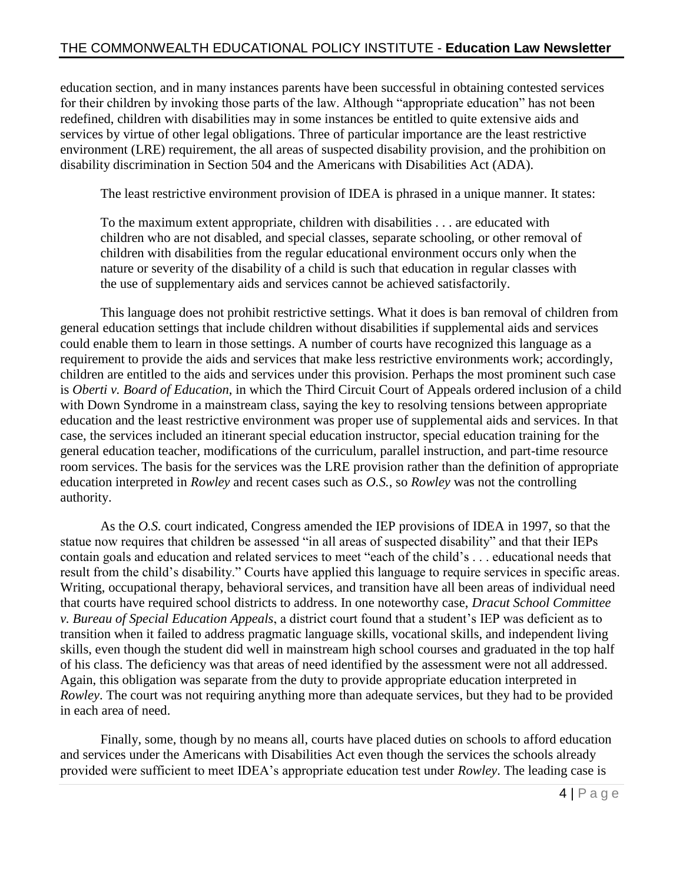education section, and in many instances parents have been successful in obtaining contested services for their children by invoking those parts of the law. Although "appropriate education" has not been redefined, children with disabilities may in some instances be entitled to quite extensive aids and services by virtue of other legal obligations. Three of particular importance are the least restrictive environment (LRE) requirement, the all areas of suspected disability provision, and the prohibition on disability discrimination in Section 504 and the Americans with Disabilities Act (ADA).

The least restrictive environment provision of IDEA is phrased in a unique manner. It states:

To the maximum extent appropriate, children with disabilities . . . are educated with children who are not disabled, and special classes, separate schooling, or other removal of children with disabilities from the regular educational environment occurs only when the nature or severity of the disability of a child is such that education in regular classes with the use of supplementary aids and services cannot be achieved satisfactorily.

This language does not prohibit restrictive settings. What it does is ban removal of children from general education settings that include children without disabilities if supplemental aids and services could enable them to learn in those settings. A number of courts have recognized this language as a requirement to provide the aids and services that make less restrictive environments work; accordingly, children are entitled to the aids and services under this provision. Perhaps the most prominent such case is *Oberti v. Board of Education*, in which the Third Circuit Court of Appeals ordered inclusion of a child with Down Syndrome in a mainstream class, saying the key to resolving tensions between appropriate education and the least restrictive environment was proper use of supplemental aids and services. In that case, the services included an itinerant special education instructor, special education training for the general education teacher, modifications of the curriculum, parallel instruction, and part-time resource room services. The basis for the services was the LRE provision rather than the definition of appropriate education interpreted in *Rowley* and recent cases such as *O.S.*, so *Rowley* was not the controlling authority.

As the *O.S.* court indicated, Congress amended the IEP provisions of IDEA in 1997, so that the statue now requires that children be assessed "in all areas of suspected disability" and that their IEPs contain goals and education and related services to meet "each of the child's . . . educational needs that result from the child's disability." Courts have applied this language to require services in specific areas. Writing, occupational therapy, behavioral services, and transition have all been areas of individual need that courts have required school districts to address. In one noteworthy case, *Dracut School Committee v. Bureau of Special Education Appeals*, a district court found that a student's IEP was deficient as to transition when it failed to address pragmatic language skills, vocational skills, and independent living skills, even though the student did well in mainstream high school courses and graduated in the top half of his class. The deficiency was that areas of need identified by the assessment were not all addressed. Again, this obligation was separate from the duty to provide appropriate education interpreted in *Rowley*. The court was not requiring anything more than adequate services, but they had to be provided in each area of need.

Finally, some, though by no means all, courts have placed duties on schools to afford education and services under the Americans with Disabilities Act even though the services the schools already provided were sufficient to meet IDEA's appropriate education test under *Rowley*. The leading case is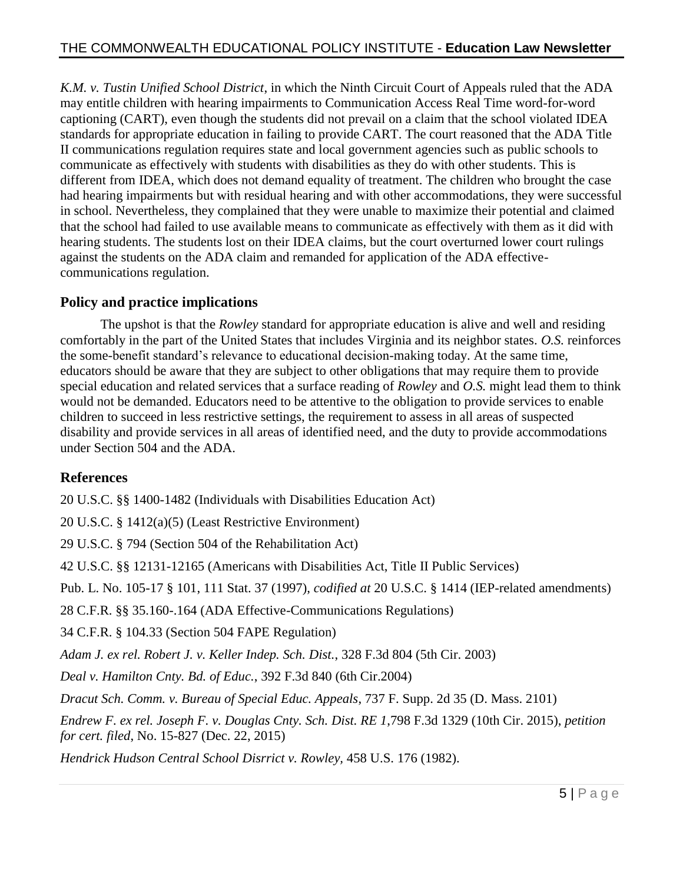*K.M. v. Tustin Unified School District*, in which the Ninth Circuit Court of Appeals ruled that the ADA may entitle children with hearing impairments to Communication Access Real Time word-for-word captioning (CART), even though the students did not prevail on a claim that the school violated IDEA standards for appropriate education in failing to provide CART. The court reasoned that the ADA Title II communications regulation requires state and local government agencies such as public schools to communicate as effectively with students with disabilities as they do with other students. This is different from IDEA, which does not demand equality of treatment. The children who brought the case had hearing impairments but with residual hearing and with other accommodations, they were successful in school. Nevertheless, they complained that they were unable to maximize their potential and claimed that the school had failed to use available means to communicate as effectively with them as it did with hearing students. The students lost on their IDEA claims, but the court overturned lower court rulings against the students on the ADA claim and remanded for application of the ADA effectivecommunications regulation.

# <span id="page-4-0"></span>**Policy and practice implications**

The upshot is that the *Rowley* standard for appropriate education is alive and well and residing comfortably in the part of the United States that includes Virginia and its neighbor states. *O.S.* reinforces the some-benefit standard's relevance to educational decision-making today. At the same time, educators should be aware that they are subject to other obligations that may require them to provide special education and related services that a surface reading of *Rowley* and *O.S.* might lead them to think would not be demanded. Educators need to be attentive to the obligation to provide services to enable children to succeed in less restrictive settings, the requirement to assess in all areas of suspected disability and provide services in all areas of identified need, and the duty to provide accommodations under Section 504 and the ADA.

## <span id="page-4-1"></span>**References**

20 U.S.C. §§ 1400-1482 (Individuals with Disabilities Education Act)

20 U.S.C. § 1412(a)(5) (Least Restrictive Environment)

29 U.S.C. § 794 (Section 504 of the Rehabilitation Act)

42 U.S.C. §§ 12131-12165 (Americans with Disabilities Act, Title II Public Services)

Pub. L. No. 105-17 § 101, 111 Stat. 37 (1997), *codified at* 20 U.S.C. § 1414 (IEP-related amendments)

28 C.F.R. §§ 35.160-.164 (ADA Effective-Communications Regulations)

34 C.F.R. § 104.33 (Section 504 FAPE Regulation)

*Adam J. ex rel. Robert J. v. Keller Indep. Sch. Dist.*, 328 F.3d 804 (5th Cir. 2003)

*Deal v. Hamilton Cnty. Bd. of Educ.*, 392 F.3d 840 (6th Cir.2004)

*Dracut Sch. Comm. v. Bureau of Special Educ. Appeals*, 737 F. Supp. 2d 35 (D. Mass. 2101)

*Endrew F. ex rel. Joseph F. v. Douglas Cnty. Sch. Dist. RE 1*,798 F.3d 1329 (10th Cir. 2015), *petition for cert. filed*, No. 15-827 (Dec. 22, 2015)

*Hendrick Hudson Central School Disrrict v. Rowley,* 458 U.S. 176 (1982).